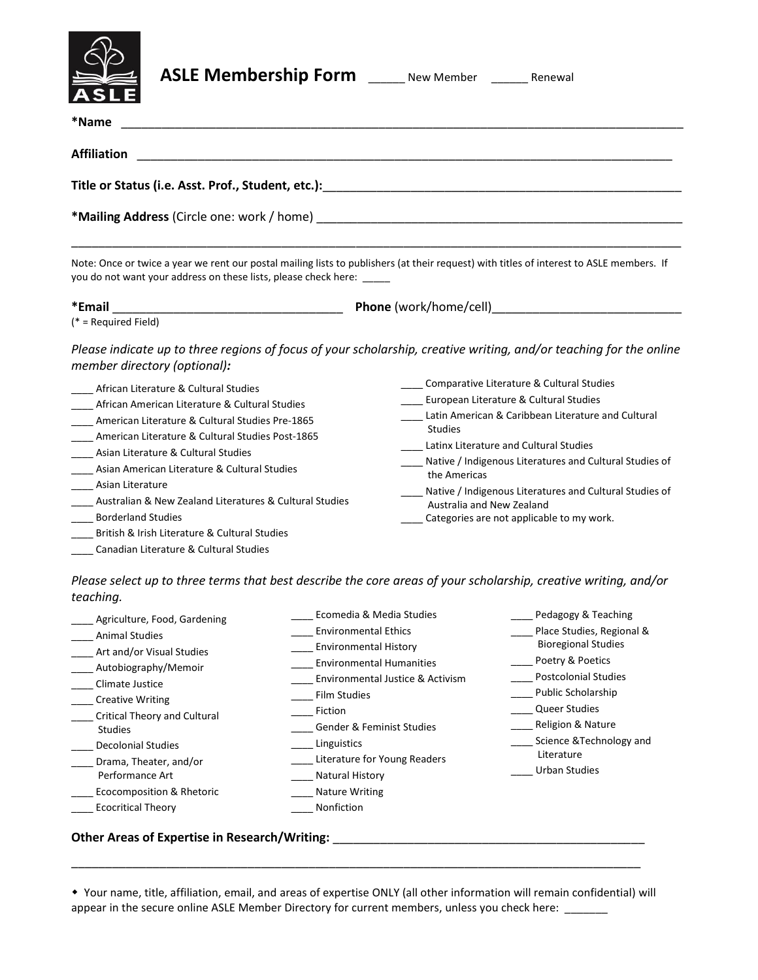

| <b>ASLE Membership Form</b> | New Member | Renewal |
|-----------------------------|------------|---------|
|-----------------------------|------------|---------|

| New Member |  |
|------------|--|
|            |  |

| *Name<br><u> 1989 - Johann Barbara, martin amerikan basal dan berasal dalam basal dalam basal dalam basal dalam basal dala</u>                                                                                                                                                                                                                                                                                                                                                                                               |                                                                                                                                                                                                                                                                                                                                                                                                                       |  |  |  |
|------------------------------------------------------------------------------------------------------------------------------------------------------------------------------------------------------------------------------------------------------------------------------------------------------------------------------------------------------------------------------------------------------------------------------------------------------------------------------------------------------------------------------|-----------------------------------------------------------------------------------------------------------------------------------------------------------------------------------------------------------------------------------------------------------------------------------------------------------------------------------------------------------------------------------------------------------------------|--|--|--|
| <b>Affiliation</b>                                                                                                                                                                                                                                                                                                                                                                                                                                                                                                           |                                                                                                                                                                                                                                                                                                                                                                                                                       |  |  |  |
| Note: Once or twice a year we rent our postal mailing lists to publishers (at their request) with titles of interest to ASLE members. If<br>you do not want your address on these lists, please check here: _____                                                                                                                                                                                                                                                                                                            |                                                                                                                                                                                                                                                                                                                                                                                                                       |  |  |  |
|                                                                                                                                                                                                                                                                                                                                                                                                                                                                                                                              |                                                                                                                                                                                                                                                                                                                                                                                                                       |  |  |  |
| member directory (optional):<br>African Literature & Cultural Studies<br>African American Literature & Cultural Studies<br>American Literature & Cultural Studies Pre-1865<br>American Literature & Cultural Studies Post-1865<br>Asian Literature & Cultural Studies<br>Asian American Literature & Cultural Studies<br>Asian Literature<br>Australian & New Zealand Literatures & Cultural Studies<br><b>Borderland Studies</b><br>British & Irish Literature & Cultural Studies<br>Canadian Literature & Cultural Studies | Comparative Literature & Cultural Studies<br>European Literature & Cultural Studies<br>Latin American & Caribbean Literature and Cultural<br><b>Studies</b><br>Latinx Literature and Cultural Studies<br>Native / Indigenous Literatures and Cultural Studies of<br>the Americas<br>Native / Indigenous Literatures and Cultural Studies of<br>Australia and New Zealand<br>Categories are not applicable to my work. |  |  |  |

*Please select up to three terms that best describe the core areas of your scholarship, creative writing, and/or teaching.*

| Agriculture, Food, Gardening        | Ecomedia & Media Studies         | Pedagogy & Teaching         |
|-------------------------------------|----------------------------------|-----------------------------|
| <b>Animal Studies</b>               | <b>Environmental Ethics</b>      | Place Studies, Regional &   |
| Art and/or Visual Studies           | <b>Environmental History</b>     | <b>Bioregional Studies</b>  |
| Autobiography/Memoir                | <b>Environmental Humanities</b>  | Poetry & Poetics            |
| Climate Justice                     | Environmental Justice & Activism | <b>Postcolonial Studies</b> |
| <b>Creative Writing</b>             | Film Studies                     | Public Scholarship          |
| <b>Critical Theory and Cultural</b> | Fiction                          | <b>Queer Studies</b>        |
| <b>Studies</b>                      | Gender & Feminist Studies        | Religion & Nature           |
| <b>Decolonial Studies</b>           | Linguistics                      | Science & Technology and    |
| Drama, Theater, and/or              | Literature for Young Readers     | Literature                  |
| Performance Art                     | <b>Natural History</b>           | <b>Urban Studies</b>        |
| Ecocomposition & Rhetoric           | <b>Nature Writing</b>            |                             |
| <b>Ecocritical Theory</b>           | Nonfiction                       |                             |
|                                     |                                  |                             |

## **Other Areas of Expertise in Research/Writing:** \_\_\_\_\_\_\_\_\_\_\_\_\_\_\_\_\_\_\_\_\_\_\_\_\_\_\_\_\_\_\_\_\_\_\_\_\_\_\_\_\_\_\_\_\_\_

 Your name, title, affiliation, email, and areas of expertise ONLY (all other information will remain confidential) will appear in the secure online ASLE Member Directory for current members, unless you check here: \_\_\_\_\_\_

\_\_\_\_\_\_\_\_\_\_\_\_\_\_\_\_\_\_\_\_\_\_\_\_\_\_\_\_\_\_\_\_\_\_\_\_\_\_\_\_\_\_\_\_\_\_\_\_\_\_\_\_\_\_\_\_\_\_\_\_\_\_\_\_\_\_\_\_\_\_\_\_\_\_\_\_\_\_\_\_\_\_\_\_